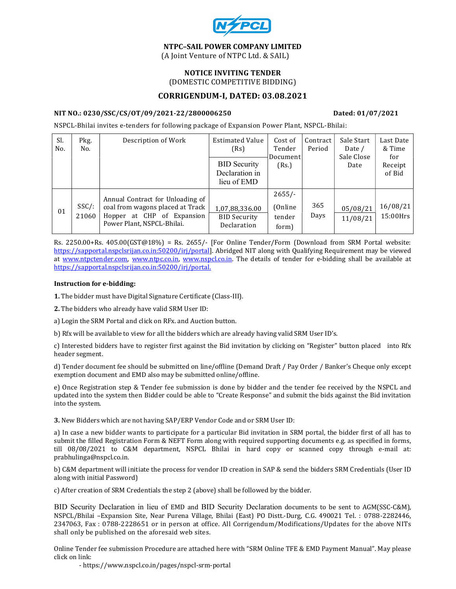

# NTPC–SAIL POWER COMPANY LIMITED

(A Joint Venture of NTPC Ltd. & SAIL)

#### NOTICE INVITING TENDER (DOMESTIC COMPETITIVE BIDDING)

## CORRIGENDUM-I, DATED: 03.08.2021

#### NIT NO.: 0230/SSC/CS/OT/09/2021-22/2800006250 Dated: 01/07/2021

NSPCL-Bhilai invites e-tenders for following package of Expansion Power Plant, NSPCL-Bhilai:

| Sl.<br>No. | Pkg.<br>No.       | Description of Work                                                                                                              | <b>Estimated Value</b><br>(Rs)<br><b>BID</b> Security<br>Declaration in<br>lieu of EMD | Cost of<br>Tender<br>Document<br>(Rs.) | Contract<br>Period | Sale Start<br>Date /<br>Sale Close<br>Date | Last Date<br>& Time<br>for<br>Receipt<br>of Bid |
|------------|-------------------|----------------------------------------------------------------------------------------------------------------------------------|----------------------------------------------------------------------------------------|----------------------------------------|--------------------|--------------------------------------------|-------------------------------------------------|
| 01         | $SSC/$ :<br>21060 | Annual Contract for Unloading of<br>coal from wagons placed at Track<br>Hopper at CHP of Expansion<br>Power Plant, NSPCL-Bhilai. | 1,07,88,336.00<br><b>BID Security</b><br>Declaration                                   | $2655/-$<br>(Online<br>tender<br>form) | 365<br>Days        | 05/08/21<br>11/08/21                       | 16/08/21<br>$15:00$ Hrs                         |

Rs. 2250.00+Rs. 405.00(GST@18%) = Rs. 2655/- [For Online Tender/Form (Download from SRM Portal website: https://sapportal.nspclsrijan.co.in:50200/irj/portal]. Abridged NIT along with Qualifying Requirement may be viewed at www.ntpctender.com, www.ntpc.co.in, www.nspcl.co.in. The details of tender for e-bidding shall be available at https://sapportal.nspclsrijan.co.in:50200/irj/portal.

#### Instruction for e-bidding:

1. The bidder must have Digital Signature Certificate (Class-III).

2. The bidders who already have valid SRM User ID:

a) Login the SRM Portal and click on RFx. and Auction button.

b) Rfx will be available to view for all the bidders which are already having valid SRM User ID's.

c) Interested bidders have to register first against the Bid invitation by clicking on "Register" button placed into Rfx header segment.

d) Tender document fee should be submitted on line/offline (Demand Draft / Pay Order / Banker's Cheque only except exemption document and EMD also may be submitted online/offline.

e) Once Registration step & Tender fee submission is done by bidder and the tender fee received by the NSPCL and updated into the system then Bidder could be able to "Create Response" and submit the bids against the Bid invitation into the system.

3. New Bidders which are not having SAP/ERP Vendor Code and or SRM User ID:

a) In case a new bidder wants to participate for a particular Bid invitation in SRM portal, the bidder first of all has to submit the filled Registration Form & NEFT Form along with required supporting documents e.g. as specified in forms, till 08/08/2021 to C&M department, NSPCL Bhilai in hard copy or scanned copy through e-mail at: prabhulinga@nspcl.co.in.

b) C&M department will initiate the process for vendor ID creation in SAP & send the bidders SRM Credentials (User ID along with initial Password)

c) After creation of SRM Credentials the step 2 (above) shall be followed by the bidder.

BID Security Declaration in lieu of EMD and BID Security Declaration documents to be sent to AGM(SSC-C&M), NSPCL/Bhilai –Expansion Site, Near Purena Village, Bhilai (East) PO Distt.-Durg, C.G. 490021 Tel. : 0788-2282446, 2347063, Fax : 0788-2228651 or in person at office. All Corrigendum/Modifications/Updates for the above NITs shall only be published on the aforesaid web sites.

Online Tender fee submission Procedure are attached here with "SRM Online TFE & EMD Payment Manual". May please click on link:

- https://www.nspcl.co.in/pages/nspcl-srm-portal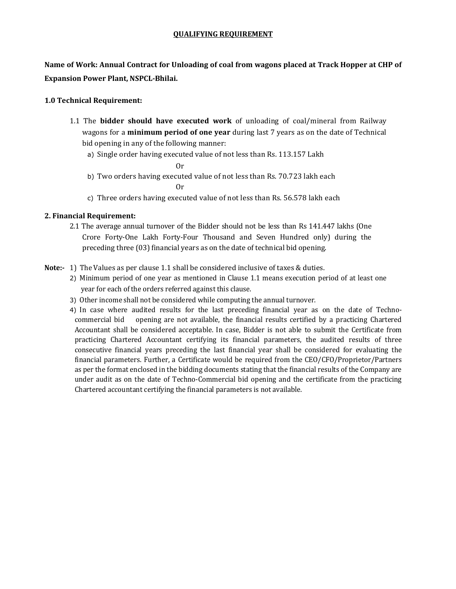## QUALIFYING REQUIREMENT

Name of Work: Annual Contract for Unloading of coal from wagons placed at Track Hopper at CHP of Expansion Power Plant, NSPCL-Bhilai.

# 1.0 Technical Requirement:

- 1.1 The **bidder should have executed work** of unloading of coal/mineral from Railway wagons for a **minimum period of one year** during last 7 years as on the date of Technical bid opening in any of the following manner:
	- a) Single order having executed value of not less than Rs. 113.157 Lakh

Or

- b) Two orders having executed value of not less than Rs. 70.723 lakh each Or
- c) Three orders having executed value of not less than Rs. 56.578 lakh each

# 2. Financial Requirement:

2.1 The average annual turnover of the Bidder should not be less than Rs 141.447 lakhs (One Crore Forty-One Lakh Forty-Four Thousand and Seven Hundred only) during the preceding three (03) financial years as on the date of technical bid opening.

# Note:- 1) The Values as per clause 1.1 shall be considered inclusive of taxes & duties.

- 2) Minimum period of one year as mentioned in Clause 1.1 means execution period of at least one year for each of the orders referred against this clause.
- 3) Other income shall not be considered while computing the annual turnover.
- 4) In case where audited results for the last preceding financial year as on the date of Technocommercial bid opening are not available, the financial results certified by a practicing Chartered Accountant shall be considered acceptable. In case, Bidder is not able to submit the Certificate from practicing Chartered Accountant certifying its financial parameters, the audited results of three consecutive financial years preceding the last financial year shall be considered for evaluating the financial parameters. Further, a Certificate would be required from the CEO/CFO/Proprietor/Partners as per the format enclosed in the bidding documents stating that the financial results of the Company are under audit as on the date of Techno-Commercial bid opening and the certificate from the practicing Chartered accountant certifying the financial parameters is not available.